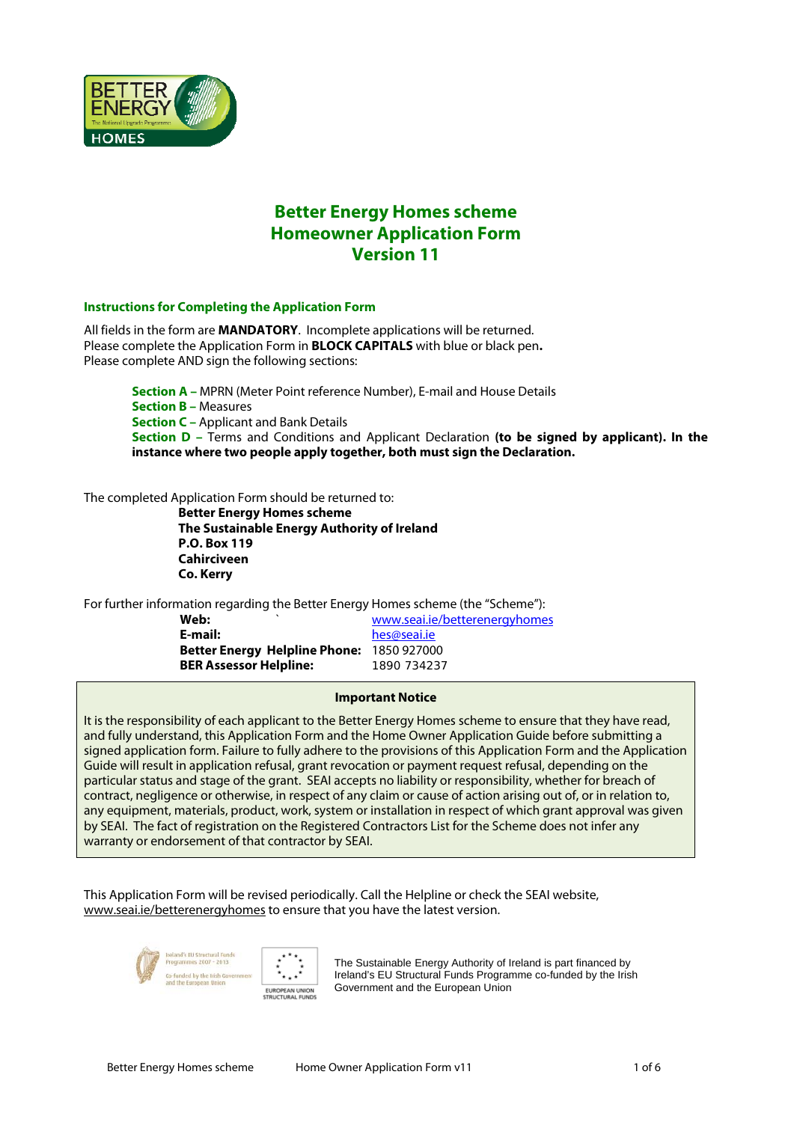

# **Better Energy Homes scheme Homeowner Application Form Version 11**

### **Instructions for Completing the Application Form**

All fields in the form are **MANDATORY**. Incomplete applications will be returned. Please complete the Application Form in **BLOCK CAPITALS** with blue or black pen**.**  Please complete AND sign the following sections:

> **Section A –** MPRN (Meter Point reference Number), E-mail and House Details **Section B –** Measures **Section C –** Applicant and Bank Details **Section D –** Terms and Conditions and Applicant Declaration **(to be signed by applicant). In the instance where two people apply together, both must sign the Declaration.**

The completed Application Form should be returned to:

**Better Energy Homes scheme The Sustainable Energy Authority of Ireland P.O. Box 119 Cahirciveen Co. Kerry** 

For further information regarding the Better Energy Homes scheme (the "Scheme"):

| Web:                                      | www.seai.ie/betterenergyhomes |
|-------------------------------------------|-------------------------------|
| E-mail:                                   | hes@seai.je                   |
| Better Energy Helpline Phone: 1850 927000 |                               |
| <b>BER Assessor Helpline:</b>             | 1890 734237                   |

#### **Important Notice**

It is the responsibility of each applicant to the Better Energy Homes scheme to ensure that they have read, and fully understand, this Application Form and the Home Owner Application Guide before submitting a signed application form. Failure to fully adhere to the provisions of this Application Form and the Application Guide will result in application refusal, grant revocation or payment request refusal, depending on the particular status and stage of the grant. SEAI accepts no liability or responsibility, whether for breach of contract, negligence or otherwise, in respect of any claim or cause of action arising out of, or in relation to, any equipment, materials, product, work, system or installation in respect of which grant approval was given by SEAI. The fact of registration on the Registered Contractors List for the Scheme does not infer any warranty or endorsement of that contractor by SEAI.

This Application Form will be revised periodically. Call the Helpline or check the SEAI website, www.seai.ie/betterenergyhomes to ensure that you have the latest version.





The Sustainable Energy Authority of Ireland is part financed by Ireland's EU Structural Funds Programme co-funded by the Irish Government and the European Union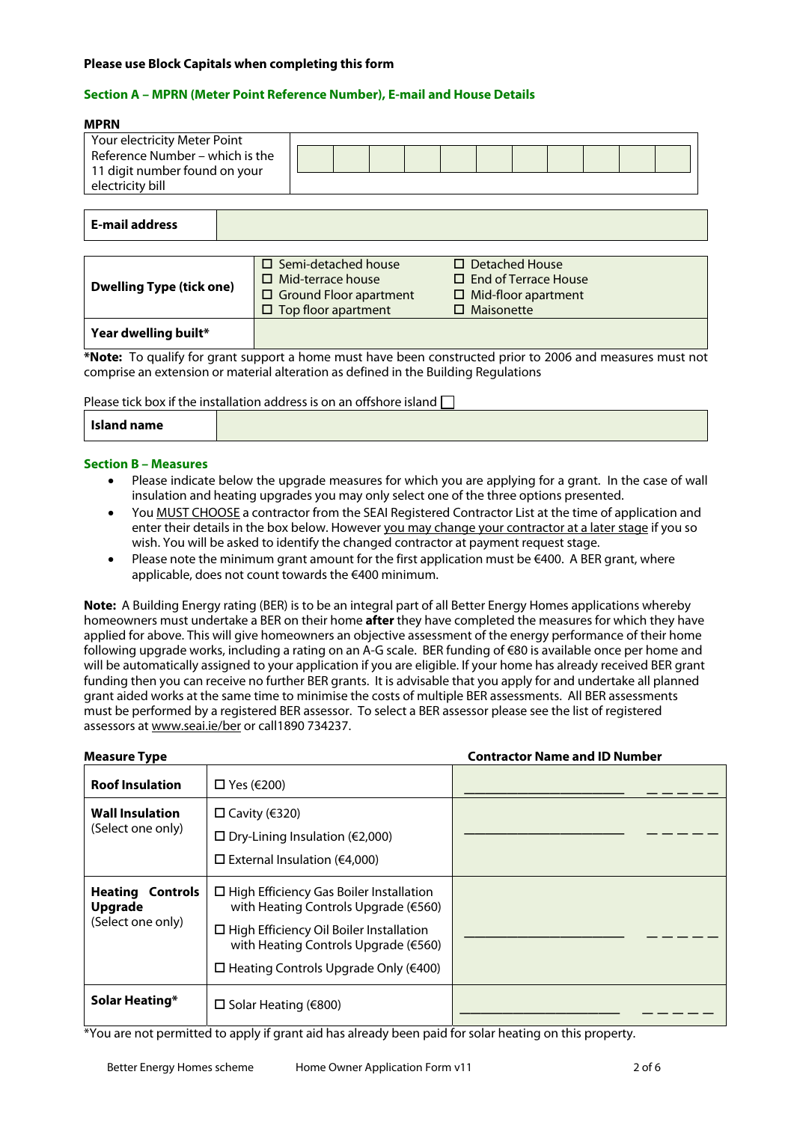### **Please use Block Capitals when completing this form**

### **Section A – MPRN (Meter Point Reference Number), E-mail and House Details**

#### **MPRN**

| Your electricity Meter Point    |  |  |  |  |  |  |
|---------------------------------|--|--|--|--|--|--|
| Reference Number – which is the |  |  |  |  |  |  |
| 11 digit number found on your   |  |  |  |  |  |  |
| electricity bill                |  |  |  |  |  |  |

### **E-mail address**

| <b>Dwelling Type (tick one)</b> | $\Box$ Semi-detached house<br>$\Box$ Mid-terrace house<br>$\Box$ Ground Floor apartment<br>$\Box$ Top floor apartment | $\Box$ Detached House<br>$\Box$ End of Terrace House<br>$\Box$ Mid-floor apartment<br>$\Box$ Maisonette |
|---------------------------------|-----------------------------------------------------------------------------------------------------------------------|---------------------------------------------------------------------------------------------------------|
| Year dwelling built*            |                                                                                                                       |                                                                                                         |

**\*Note:** To qualify for grant support a home must have been constructed prior to 2006 and measures must not comprise an extension or material alteration as defined in the Building Regulations

Please tick box if the installation address is on an offshore island  $\Box$ 

|--|

### **Section B – Measures**

- Please indicate below the upgrade measures for which you are applying for a grant. In the case of wall insulation and heating upgrades you may only select one of the three options presented.
- You MUST CHOOSE a contractor from the SEAI Registered Contractor List at the time of application and enter their details in the box below. However you may change your contractor at a later stage if you so wish. You will be asked to identify the changed contractor at payment request stage.
- Please note the minimum grant amount for the first application must be  $\epsilon$ 400. A BER grant, where applicable, does not count towards the €400 minimum.

**Note:** A Building Energy rating (BER) is to be an integral part of all Better Energy Homes applications whereby homeowners must undertake a BER on their home **after** they have completed the measures for which they have applied for above. This will give homeowners an objective assessment of the energy performance of their home following upgrade works, including a rating on an A-G scale. BER funding of €80 is available once per home and will be automatically assigned to your application if you are eligible. If your home has already received BER grant funding then you can receive no further BER grants. It is advisable that you apply for and undertake all planned grant aided works at the same time to minimise the costs of multiple BER assessments. All BER assessments must be performed by a registered BER assessor. To select a BER assessor please see the list of registered assessors at www.seai.ie/ber or call1890 734237.

| <b>Measure Type</b>                                            |                                                                                                                                                                                                                                            | <b>Contractor Name and ID Number</b> |
|----------------------------------------------------------------|--------------------------------------------------------------------------------------------------------------------------------------------------------------------------------------------------------------------------------------------|--------------------------------------|
| <b>Roof Insulation</b>                                         | $\Box$ Yes ( $\epsilon$ 200)                                                                                                                                                                                                               |                                      |
| <b>Wall Insulation</b><br>(Select one only)                    | $□$ Cavity (€320)<br>$\Box$ Dry-Lining Insulation (€2,000)<br>$\Box$ External Insulation ( $\epsilon$ 4,000)                                                                                                                               |                                      |
| <b>Heating Controls</b><br><b>Upgrade</b><br>(Select one only) | $\Box$ High Efficiency Gas Boiler Installation<br>with Heating Controls Upgrade (€560)<br>$\Box$ High Efficiency Oil Boiler Installation<br>with Heating Controls Upgrade (€560)<br>$\Box$ Heating Controls Upgrade Only ( $\epsilon$ 400) |                                      |
| Solar Heating*                                                 | □ Solar Heating (€800)                                                                                                                                                                                                                     |                                      |

\*You are not permitted to apply if grant aid has already been paid for solar heating on this property.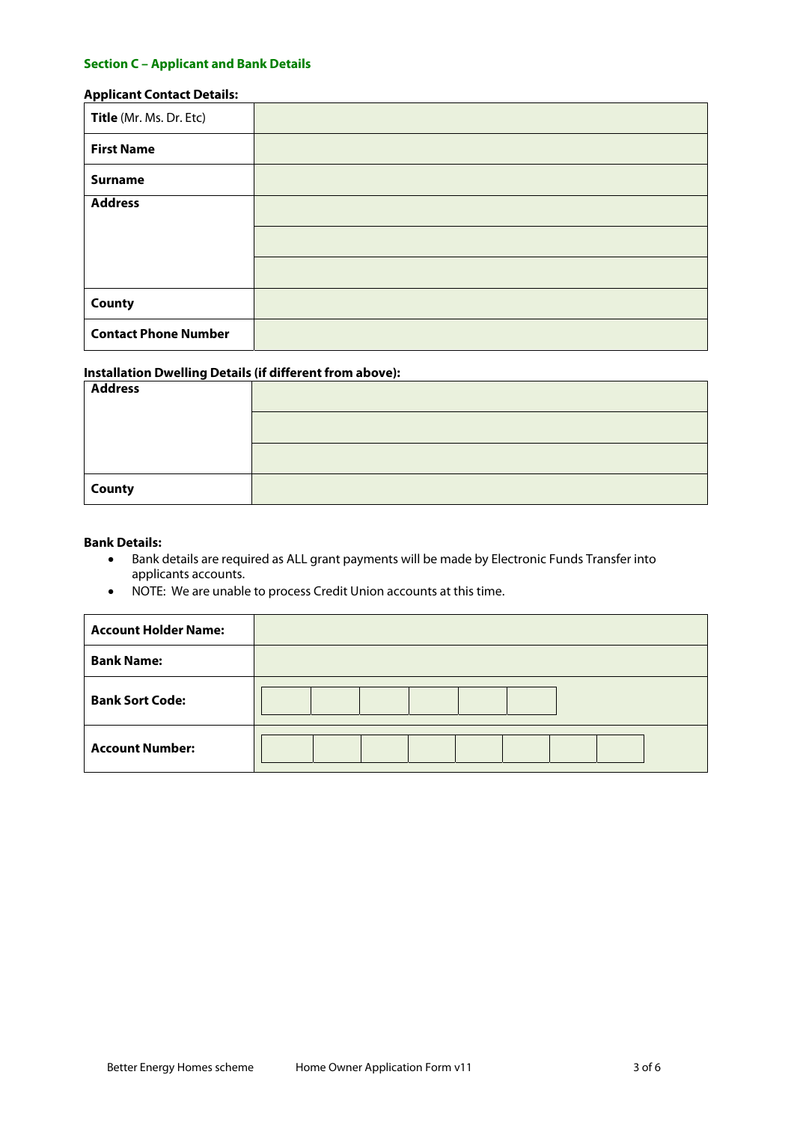## **Section C – Applicant and Bank Details**

### **Applicant Contact Details:**

| Title (Mr. Ms. Dr. Etc)     |  |
|-----------------------------|--|
| <b>First Name</b>           |  |
| <b>Surname</b>              |  |
| <b>Address</b>              |  |
|                             |  |
|                             |  |
| <b>County</b>               |  |
| <b>Contact Phone Number</b> |  |

## **Installation Dwelling Details (if different from above):**

| <b>Address</b> |  |
|----------------|--|
|                |  |
|                |  |
| County         |  |

### **Bank Details:**

- Bank details are required as ALL grant payments will be made by Electronic Funds Transfer into applicants accounts.
- NOTE: We are unable to process Credit Union accounts at this time.

| <b>Account Holder Name:</b> |  |
|-----------------------------|--|
| <b>Bank Name:</b>           |  |
| <b>Bank Sort Code:</b>      |  |
| <b>Account Number:</b>      |  |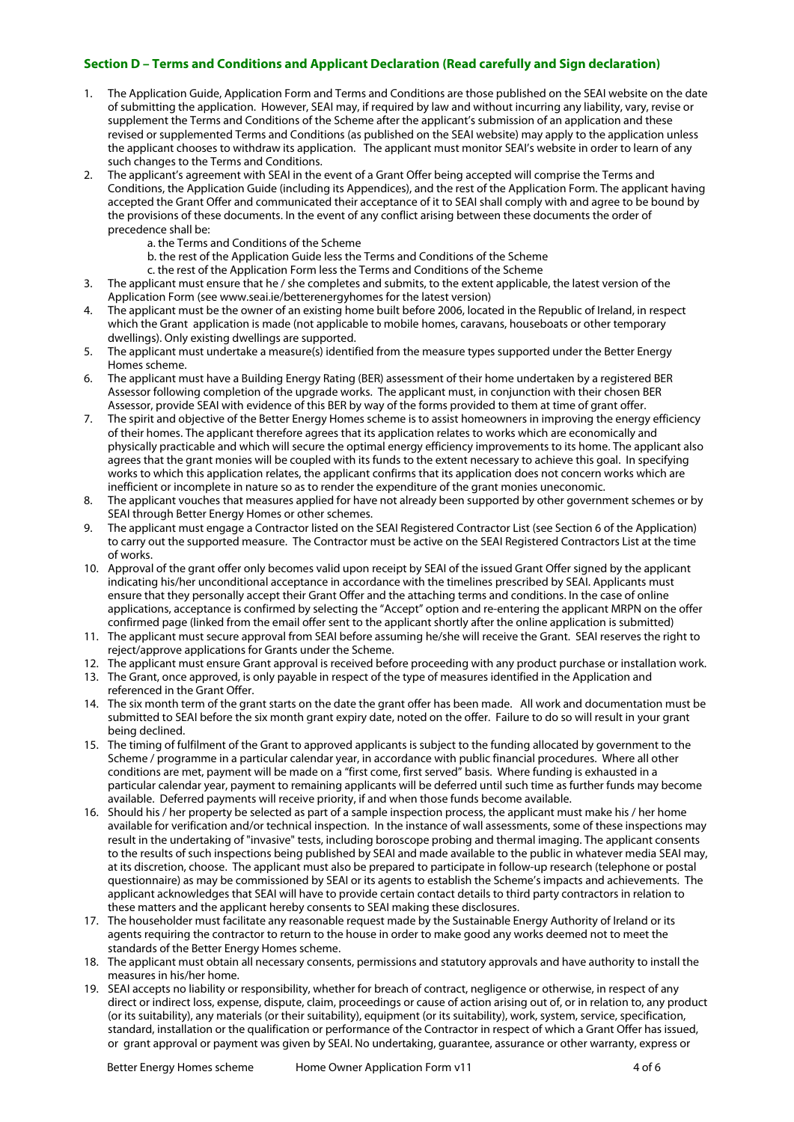### **Section D – Terms and Conditions and Applicant Declaration (Read carefully and Sign declaration)**

- 1. The Application Guide, Application Form and Terms and Conditions are those published on the SEAI website on the date of submitting the application. However, SEAI may, if required by law and without incurring any liability, vary, revise or supplement the Terms and Conditions of the Scheme after the applicant's submission of an application and these revised or supplemented Terms and Conditions (as published on the SEAI website) may apply to the application unless the applicant chooses to withdraw its application. The applicant must monitor SEAI's website in order to learn of any such changes to the Terms and Conditions.
- 2. The applicant's agreement with SEAI in the event of a Grant Offer being accepted will comprise the Terms and Conditions, the Application Guide (including its Appendices), and the rest of the Application Form. The applicant having accepted the Grant Offer and communicated their acceptance of it to SEAI shall comply with and agree to be bound by the provisions of these documents. In the event of any conflict arising between these documents the order of precedence shall be:
	- a. the Terms and Conditions of the Scheme
	- b. the rest of the Application Guide less the Terms and Conditions of the Scheme
	- c. the rest of the Application Form less the Terms and Conditions of the Scheme
- 3. The applicant must ensure that he / she completes and submits, to the extent applicable, the latest version of the Application Form (see www.seai.ie/betterenergyhomes for the latest version)
- 4. The applicant must be the owner of an existing home built before 2006, located in the Republic of Ireland, in respect which the Grant application is made (not applicable to mobile homes, caravans, houseboats or other temporary dwellings). Only existing dwellings are supported.
- 5. The applicant must undertake a measure(s) identified from the measure types supported under the Better Energy Homes scheme.
- 6. The applicant must have a Building Energy Rating (BER) assessment of their home undertaken by a registered BER Assessor following completion of the upgrade works. The applicant must, in conjunction with their chosen BER Assessor, provide SEAI with evidence of this BER by way of the forms provided to them at time of grant offer.
- 7. The spirit and objective of the Better Energy Homes scheme is to assist homeowners in improving the energy efficiency of their homes. The applicant therefore agrees that its application relates to works which are economically and physically practicable and which will secure the optimal energy efficiency improvements to its home. The applicant also agrees that the grant monies will be coupled with its funds to the extent necessary to achieve this goal. In specifying works to which this application relates, the applicant confirms that its application does not concern works which are inefficient or incomplete in nature so as to render the expenditure of the grant monies uneconomic.
- 8. The applicant vouches that measures applied for have not already been supported by other government schemes or by SEAI through Better Energy Homes or other schemes.
- 9. The applicant must engage a Contractor listed on the SEAI Registered Contractor List (see Section 6 of the Application) to carry out the supported measure. The Contractor must be active on the SEAI Registered Contractors List at the time of works.
- 10. Approval of the grant offer only becomes valid upon receipt by SEAI of the issued Grant Offer signed by the applicant indicating his/her unconditional acceptance in accordance with the timelines prescribed by SEAI. Applicants must ensure that they personally accept their Grant Offer and the attaching terms and conditions. In the case of online applications, acceptance is confirmed by selecting the "Accept" option and re-entering the applicant MRPN on the offer confirmed page (linked from the email offer sent to the applicant shortly after the online application is submitted)
- 11. The applicant must secure approval from SEAI before assuming he/she will receive the Grant. SEAI reserves the right to reject/approve applications for Grants under the Scheme.
- 12. The applicant must ensure Grant approval is received before proceeding with any product purchase or installation work.
- 13. The Grant, once approved, is only payable in respect of the type of measures identified in the Application and referenced in the Grant Offer.
- 14. The six month term of the grant starts on the date the grant offer has been made. All work and documentation must be submitted to SEAI before the six month grant expiry date, noted on the offer. Failure to do so will result in your grant being declined.
- 15. The timing of fulfilment of the Grant to approved applicants is subject to the funding allocated by government to the Scheme / programme in a particular calendar year, in accordance with public financial procedures. Where all other conditions are met, payment will be made on a "first come, first served" basis. Where funding is exhausted in a particular calendar year, payment to remaining applicants will be deferred until such time as further funds may become available. Deferred payments will receive priority, if and when those funds become available.
- 16. Should his / her property be selected as part of a sample inspection process, the applicant must make his / her home available for verification and/or technical inspection. In the instance of wall assessments, some of these inspections may result in the undertaking of "invasive" tests, including boroscope probing and thermal imaging. The applicant consents to the results of such inspections being published by SEAI and made available to the public in whatever media SEAI may, at its discretion, choose. The applicant must also be prepared to participate in follow-up research (telephone or postal questionnaire) as may be commissioned by SEAI or its agents to establish the Scheme's impacts and achievements. The applicant acknowledges that SEAI will have to provide certain contact details to third party contractors in relation to these matters and the applicant hereby consents to SEAI making these disclosures.
- 17. The householder must facilitate any reasonable request made by the Sustainable Energy Authority of Ireland or its agents requiring the contractor to return to the house in order to make good any works deemed not to meet the standards of the Better Energy Homes scheme.
- 18. The applicant must obtain all necessary consents, permissions and statutory approvals and have authority to install the measures in his/her home.
- 19. SEAI accepts no liability or responsibility, whether for breach of contract, negligence or otherwise, in respect of any direct or indirect loss, expense, dispute, claim, proceedings or cause of action arising out of, or in relation to, any product (or its suitability), any materials (or their suitability), equipment (or its suitability), work, system, service, specification, standard, installation or the qualification or performance of the Contractor in respect of which a Grant Offer has issued, or grant approval or payment was given by SEAI. No undertaking, guarantee, assurance or other warranty, express or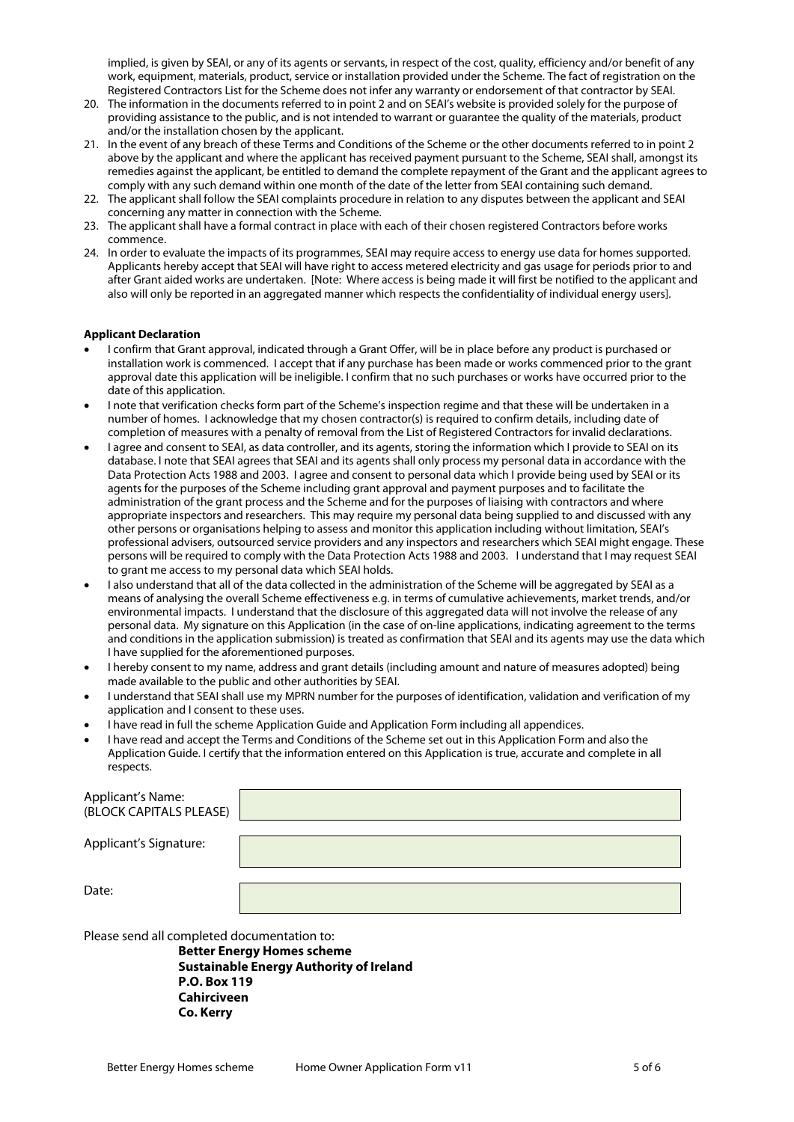implied, is given by SEAI, or any of its agents or servants, in respect of the cost, quality, efficiency and/or benefit of any work, equipment, materials, product, service or installation provided under the Scheme. The fact of registration on the Registered Contractors List for the Scheme does not infer any warranty or endorsement of that contractor by SEAI.

- 20. The information in the documents referred to in point 2 and on SEAI's website is provided solely for the purpose of providing assistance to the public, and is not intended to warrant or guarantee the quality of the materials, product and/or the installation chosen by the applicant.
- 21. In the event of any breach of these Terms and Conditions of the Scheme or the other documents referred to in point 2 above by the applicant and where the applicant has received payment pursuant to the Scheme, SEAI shall, amongst its remedies against the applicant, be entitled to demand the complete repayment of the Grant and the applicant agrees to comply with any such demand within one month of the date of the letter from SEAI containing such demand.
- 22. The applicant shall follow the SEAI complaints procedure in relation to any disputes between the applicant and SEAI concerning any matter in connection with the Scheme.
- 23. The applicant shall have a formal contract in place with each of their chosen registered Contractors before works commence.
- 24. In order to evaluate the impacts of its programmes, SEAI may require access to energy use data for homes supported. Applicants hereby accept that SEAI will have right to access metered electricity and gas usage for periods prior to and after Grant aided works are undertaken. [Note: Where access is being made it will first be notified to the applicant and also will only be reported in an aggregated manner which respects the confidentiality of individual energy users].

#### **Applicant Declaration**

- I confirm that Grant approval, indicated through a Grant Offer, will be in place before any product is purchased or installation work is commenced. I accept that if any purchase has been made or works commenced prior to the grant approval date this application will be ineligible. I confirm that no such purchases or works have occurred prior to the date of this application.
- I note that verification checks form part of the Scheme's inspection regime and that these will be undertaken in a number of homes. I acknowledge that my chosen contractor(s) is required to confirm details, including date of completion of measures with a penalty of removal from the List of Registered Contractors for invalid declarations.
- I agree and consent to SEAI, as data controller, and its agents, storing the information which I provide to SEAI on its database. I note that SEAI agrees that SEAI and its agents shall only process my personal data in accordance with the Data Protection Acts 1988 and 2003. I agree and consent to personal data which I provide being used by SEAI or its agents for the purposes of the Scheme including grant approval and payment purposes and to facilitate the administration of the grant process and the Scheme and for the purposes of liaising with contractors and where appropriate inspectors and researchers. This may require my personal data being supplied to and discussed with any other persons or organisations helping to assess and monitor this application including without limitation, SEAI's professional advisers, outsourced service providers and any inspectors and researchers which SEAI might engage. These persons will be required to comply with the Data Protection Acts 1988 and 2003. I understand that I may request SEAI to grant me access to my personal data which SEAI holds.
- I also understand that all of the data collected in the administration of the Scheme will be aggregated by SEAI as a means of analysing the overall Scheme effectiveness e.g. in terms of cumulative achievements, market trends, and/or environmental impacts. I understand that the disclosure of this aggregated data will not involve the release of any personal data. My signature on this Application (in the case of on-line applications, indicating agreement to the terms and conditions in the application submission) is treated as confirmation that SEAI and its agents may use the data which I have supplied for the aforementioned purposes.
- I hereby consent to my name, address and grant details (including amount and nature of measures adopted) being made available to the public and other authorities by SEAI.
- I understand that SEAI shall use my MPRN number for the purposes of identification, validation and verification of my application and I consent to these uses.
- I have read in full the scheme Application Guide and Application Form including all appendices.
- I have read and accept the Terms and Conditions of the Scheme set out in this Application Form and also the Application Guide. I certify that the information entered on this Application is true, accurate and complete in all respects.

| <b>Applicant's Name:</b><br>(BLOCK CAPITALS PLEASE) |  |
|-----------------------------------------------------|--|
| Applicant's Signature:                              |  |
| Date:                                               |  |

Please send all completed documentation to:

**Better Energy Homes scheme Sustainable Energy Authority of Ireland P.O. Box 119 Cahirciveen Co. Kerry**